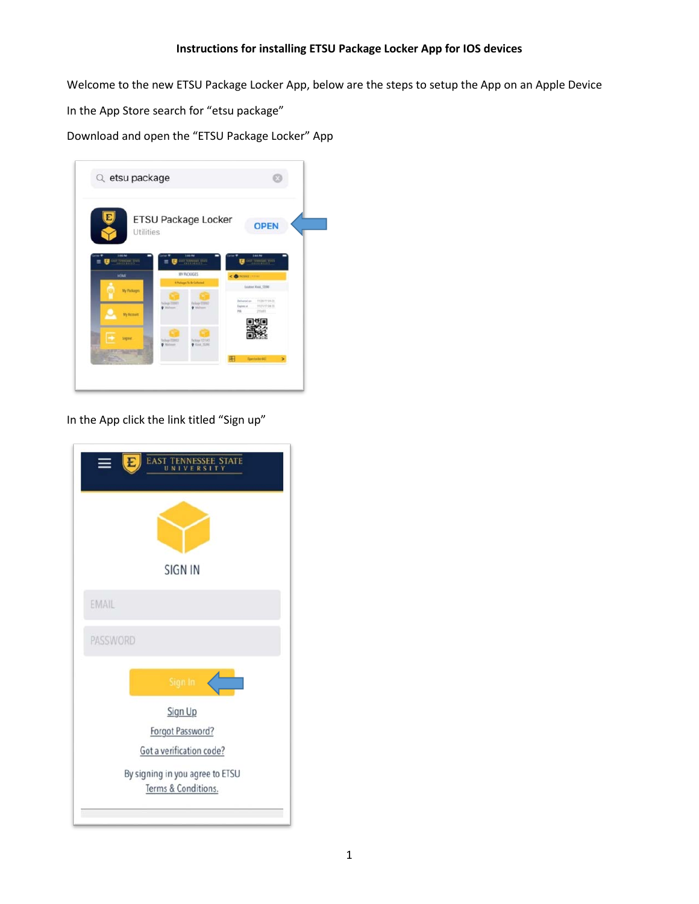Welcome to the new ETSU Package Locker App, below are the steps to setup the App on an Apple Device

In the App Store search for "etsu package"

Download and open the "ETSU Package Locker" App

| Utilities                   | <b>ETSU Package Locker</b>                                             | <b>OPEN</b>                                                                                                        |
|-----------------------------|------------------------------------------------------------------------|--------------------------------------------------------------------------------------------------------------------|
| 115 PM<br><b>March Part</b> | <b>Call Barrett Mark</b>                                               | 1417<br><b>CALL LOCATION</b>                                                                                       |
| <b>HOME</b>                 | MY PACKAGES<br><b>Challages To be Collected</b>                        | <b>CONGRESS</b>                                                                                                    |
| My Packages<br>My Account   | Paidway 200603<br>Felop (70%)<br>$0$ in $-$<br>Malleran<br>۰           | <b>Souton Keel, COM</b><br>Delivered on<br>PEDBIT/10A.20<br>TU23/17 DK.25<br><b>Tapmus</b><br>211a41<br><b>ISS</b> |
|                             | <b>Tackets TOWER</b><br>Relige 121143<br>Child State<br><b>Mallers</b> |                                                                                                                    |

In the App click the link titled "Sign up"

|          | <b>EAST</b><br><b>ENNESSEE STATE</b><br>TY <sub></sub> |
|----------|--------------------------------------------------------|
|          |                                                        |
|          | SIGN IN                                                |
| EMAIL    |                                                        |
| PASSWORD |                                                        |
|          | Sign In                                                |
|          | Sign Up                                                |
|          | Forgot Password?                                       |
|          | Got a verification code?                               |
|          | By signing in you agree to ETSU<br>Terms & Conditions. |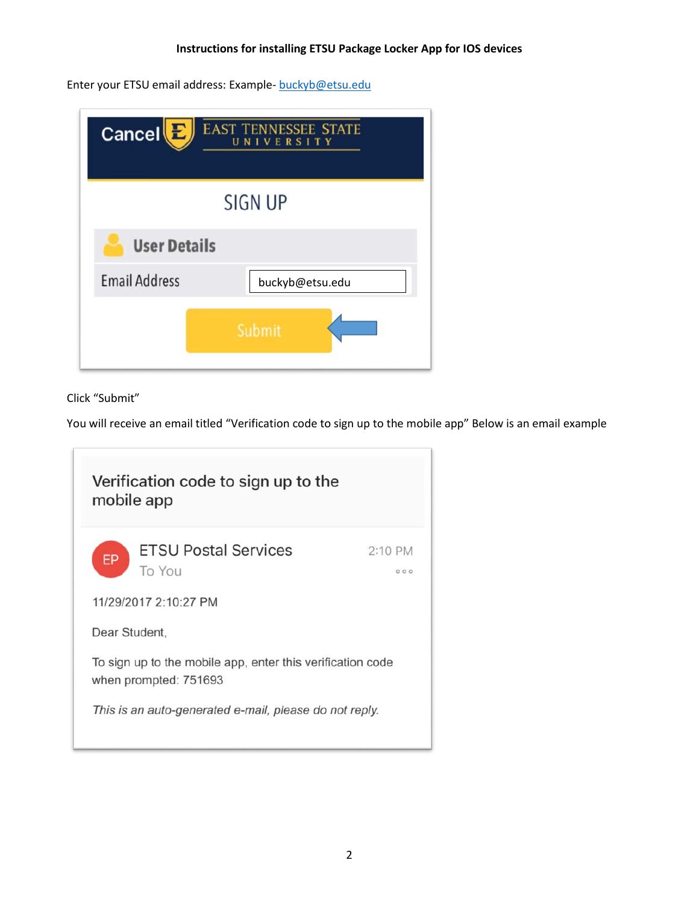Enter your ETSU email address: Example- [buckyb@etsu.edu](mailto:buckyb@etsu.edu)

| Cancel <sup>[E]</sup> | <b>EAST TENNESSEE STATE</b><br>VERSITY<br>N<br>U |
|-----------------------|--------------------------------------------------|
|                       | SIGN UP                                          |
| <b>User Details</b>   |                                                  |
| <b>Email Address</b>  | buckyb@etsu.edu                                  |
|                       | Submit                                           |

Click "Submit"

You will receive an email titled "Verification code to sign up to the mobile app" Below is an email example

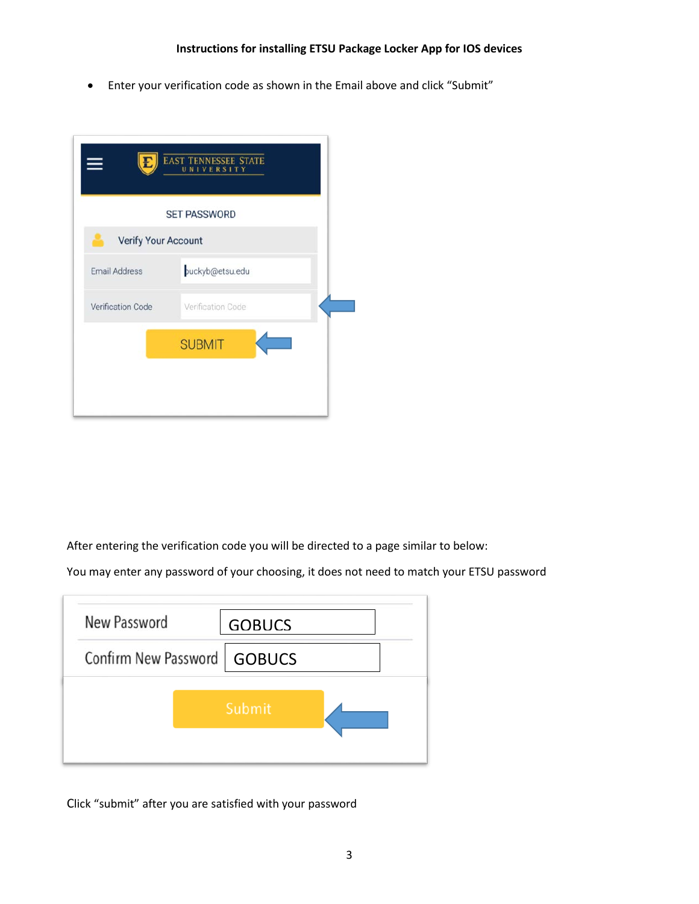• Enter your verification code as shown in the Email above and click "Submit"

|                            | <b>EAST TENNESSEE STATE</b><br>UNIVERSITY |
|----------------------------|-------------------------------------------|
|                            | <b>SET PASSWORD</b>                       |
| <b>Verify Your Account</b> |                                           |
| <b>Email Address</b>       | buckyb@etsu.edu                           |
| Verification Code          | Verification Code                         |
|                            | <b>SUBMIT</b>                             |
|                            |                                           |
|                            |                                           |

After entering the verification code you will be directed to a page similar to below:

You may enter any password of your choosing, it does not need to match your ETSU password

| New Password                  | <b>GOBUCS</b> |  |
|-------------------------------|---------------|--|
| Confirm New Password   GOBUCS |               |  |
|                               | Submit        |  |
|                               |               |  |

Click "submit" after you are satisfied with your password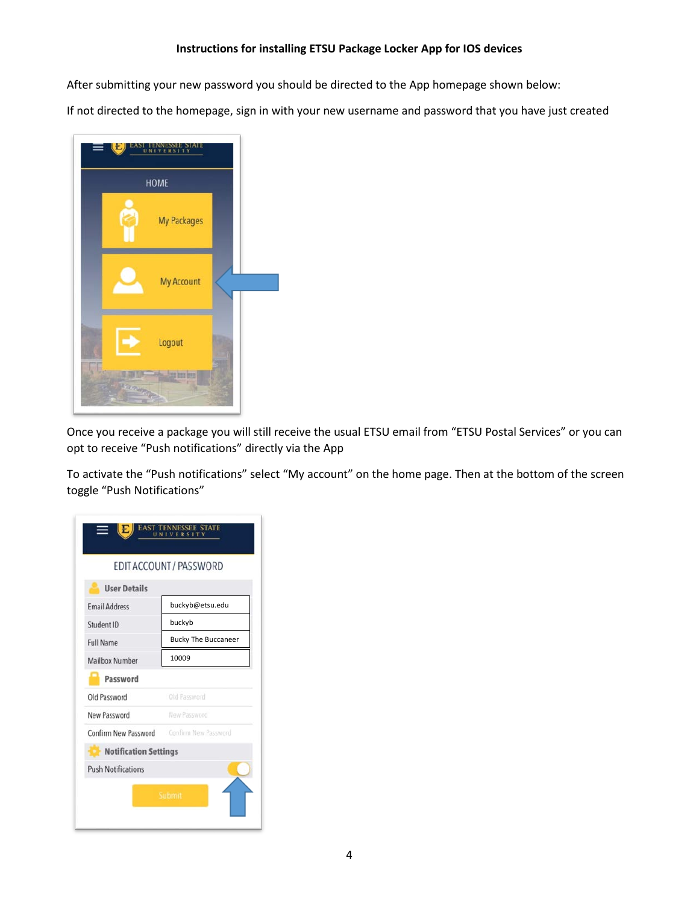After submitting your new password you should be directed to the App homepage shown below:

If not directed to the homepage, sign in with your new username and password that you have just created



Once you receive a package you will still receive the usual ETSU email from "ETSU Postal Services" or you can opt to receive "Push notifications" directly via the App

To activate the "Push notifications" select "My account" on the home page. Then at the bottom of the screen toggle "Push Notifications"

|                                                  | EDIT ACCOUNT / PASSWORD    |
|--------------------------------------------------|----------------------------|
| <b>User Details</b>                              |                            |
| <b>Email Address</b>                             | buckvb@etsu.edu            |
| Student ID                                       | buckyb                     |
| <b>Full Name</b>                                 | <b>Bucky The Buccaneer</b> |
| <b>Mailbox Number</b>                            | 10009                      |
| Password                                         |                            |
| Old Password                                     | Old Password               |
| New Password                                     | New Password               |
| <b>Confirm New Password</b> Confirm New Password |                            |
| Notification Settings                            |                            |
| <b>Push Notifications</b>                        |                            |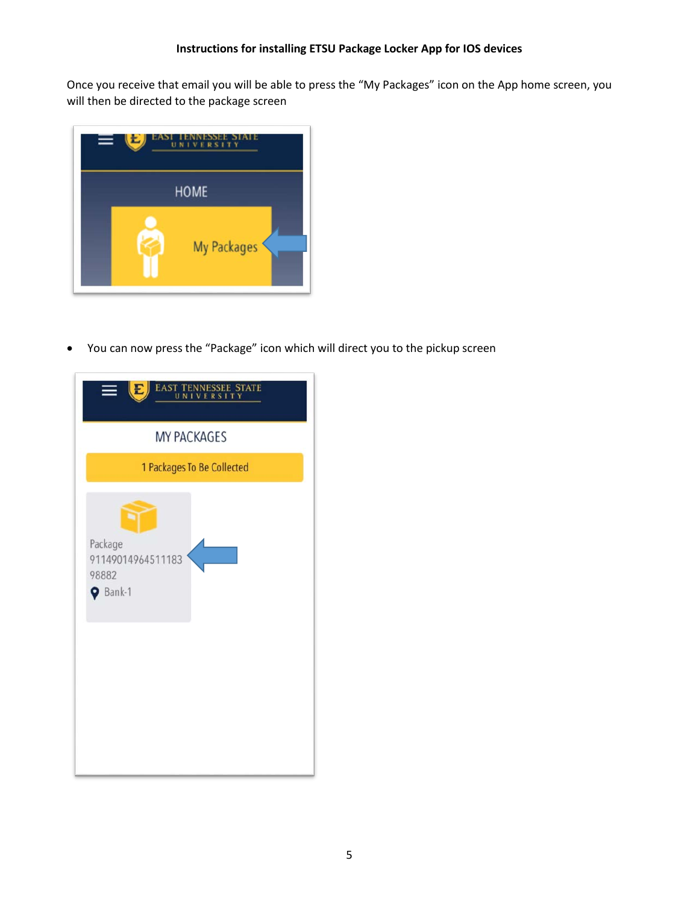Once you receive that email you will be able to press the "My Packages" icon on the App home screen, you will then be directed to the package screen



• You can now press the "Package" icon which will direct you to the pickup screen

| <b>SEE STATE</b><br><b>EAST</b><br>E<br>ERSITY<br>u |
|-----------------------------------------------------|
| <b>MY PACKAGES</b>                                  |
| 1 Packages To Be Collected                          |
| Package<br>91149014964511183<br>98882<br>P Bank-1   |
|                                                     |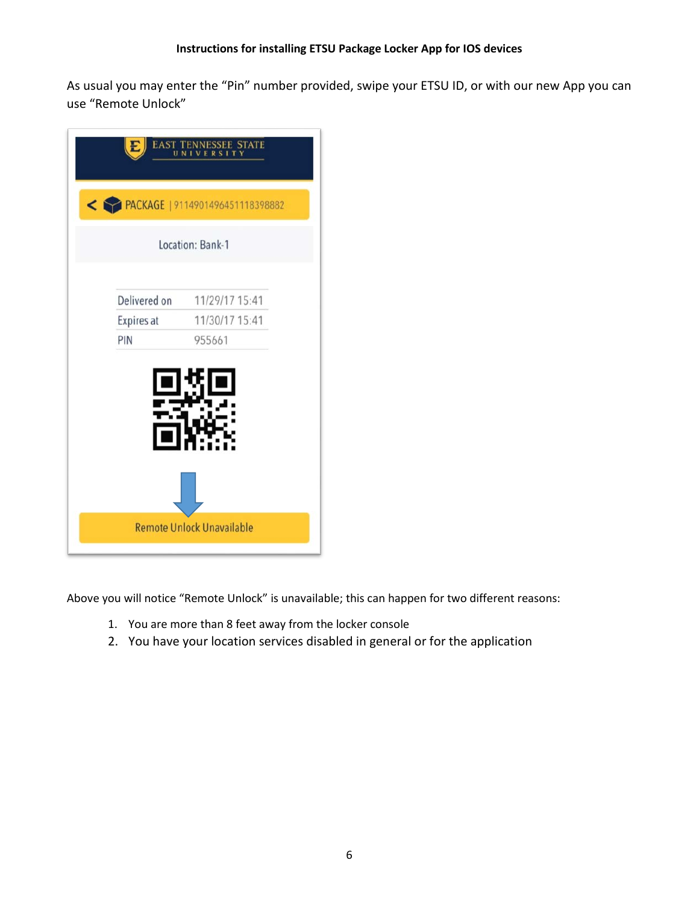As usual you may enter the "Pin" number provided, swipe your ETSU ID, or with our new App you can use "Remote Unlock"

|              | Location: Bank-1 |
|--------------|------------------|
| Delivered on | 11/29/17 15:41   |
| Expires at   | 11/30/17 15:41   |
| PIN          | 955661           |
|              |                  |
|              |                  |

Above you will notice "Remote Unlock" is unavailable; this can happen for two different reasons:

- 1. You are more than 8 feet away from the locker console
- 2. You have your location services disabled in general or for the application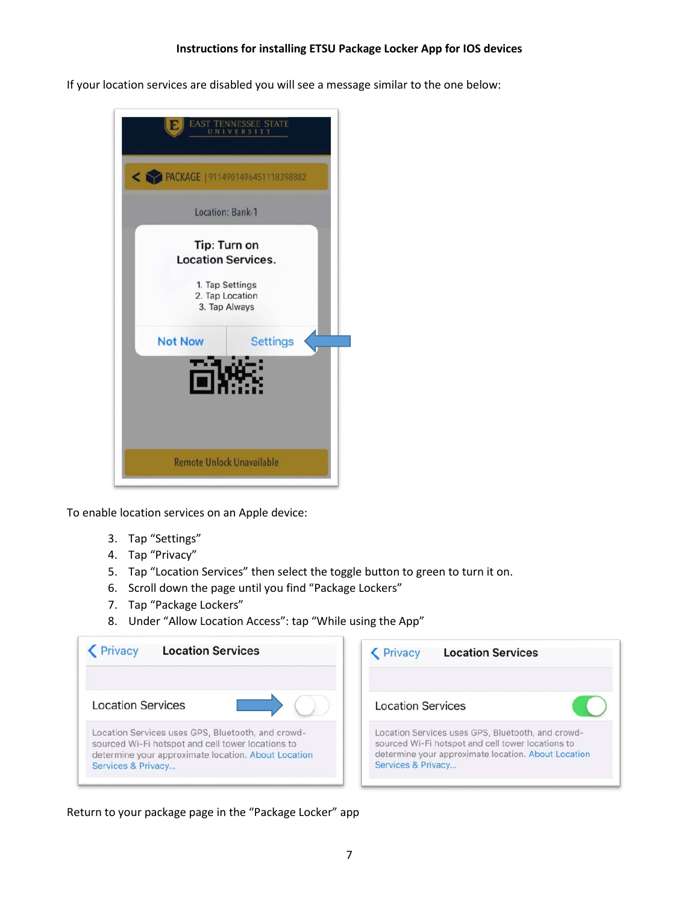If your location services are disabled you will see a message similar to the one below:



To enable location services on an Apple device:

- 3. Tap "Settings"
- 4. Tap "Privacy"
- 5. Tap "Location Services" then select the toggle button to green to turn it on.
- 6. Scroll down the page until you find "Package Lockers"
- 7. Tap "Package Lockers"
- 8. Under "Allow Location Access": tap "While using the App"

| <b>Location Services</b>                                                                                                                                                            | <b>Location Services</b><br>Privacy                                                                                                                                                 |
|-------------------------------------------------------------------------------------------------------------------------------------------------------------------------------------|-------------------------------------------------------------------------------------------------------------------------------------------------------------------------------------|
| <b>Location Services</b>                                                                                                                                                            | <b>Location Services</b>                                                                                                                                                            |
| Location Services uses GPS, Bluetooth, and crowd-<br>sourced Wi-Fi hotspot and cell tower locations to<br>determine your approximate location. About Location<br>Services & Privacy | Location Services uses GPS, Bluetooth, and crowd-<br>sourced Wi-Fi hotspot and cell tower locations to<br>determine your approximate location. About Location<br>Services & Privacy |

Return to your package page in the "Package Locker" app